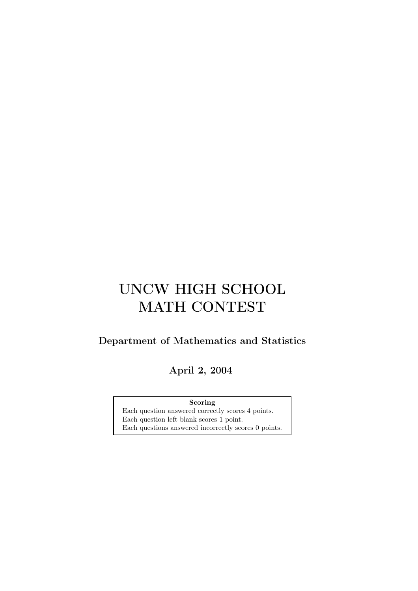## UNCW HIGH SCHOOL MATH CONTEST

## Department of Mathematics and Statistics

April 2, 2004

Scoring

Each question answered correctly scores 4 points. Each question left blank scores 1 point. Each questions answered incorrectly scores 0 points.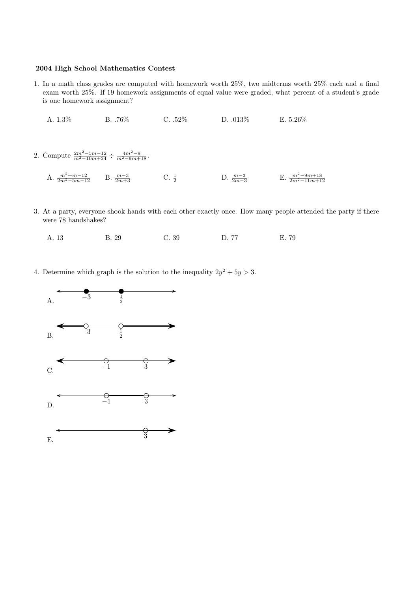## 2004 High School Mathematics Contest

- 1. In a math class grades are computed with homework worth 25%, two midterms worth 25% each and a final exam worth 25%. If 19 homework assignments of equal value were graded, what percent of a student's grade is one homework assignment?
	- A. 1.3% B. .76% C. .52% D. .013% E. 5.26%
- 2. Compute  $\frac{2m^2-5m-12}{m^2-10m+24} \div \frac{4m^2-9}{m^2-9m+18}$ . A.  $\frac{m^2+m-12}{2m^2-5m-12}$  $\frac{m^2+m-12}{2m^2-5m-12}$  B.  $\frac{m-3}{2m+3}$  C.  $\frac{1}{2}$  D.  $\frac{m-3}{2m-3}$  E.  $\frac{m^2-9m+18}{2m^2-11m+12}$
- 3. At a party, everyone shook hands with each other exactly once. How many people attended the party if there were 78 handshakes?
	- A. 13 B. 29 C. 39 D. 77 E. 79
- 4. Determine which graph is the solution to the inequality  $2y^2 + 5y > 3$ .

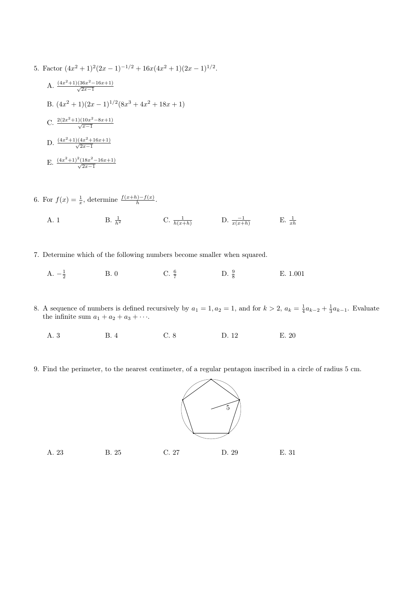- 5. Factor  $(4x^2 + 1)^2(2x 1)^{-1/2} + 16x(4x^2 + 1)(2x 1)^{1/2}$ .
	- A.  $\frac{(4x^2+1)(36x^2-16x+1)}{\sqrt{2x-1}}$ B.  $(4x^2 + 1)(2x - 1)^{1/2}(8x^3 + 4x^2 + 18x + 1)$ C.  $\frac{2(2x^2+1)(10x^2-8x+1)}{\sqrt{x-1}}$ D.  $\frac{(4x^2+1)(4x^2+16x+1)}{\sqrt{2x-1}}$ E.  $\frac{(4x^2+1)^2(18x^2-16x+1)}{\sqrt{2x-1}}$
- 6. For  $f(x) = \frac{1}{x}$ , determine  $\frac{f(x+h)-f(x)}{h}$ .
	- A. 1 B.  $\frac{1}{h^2}$  C.  $\frac{1}{h(x+h)}$  D.  $\frac{-1}{x(x+h)}$ E.  $\frac{1}{xh}$
- 7. Determine which of the following numbers become smaller when squared.
	- A.  $-\frac{1}{2}$  $\frac{1}{2}$  B. 0 C.  $\frac{6}{7}$  $C. \frac{6}{7}$ D.  $\frac{9}{8}$ E. 1.001
- 8. A sequence of numbers is defined recursively by  $a_1 = 1, a_2 = 1$ , and for  $k > 2$ ,  $a_k = \frac{1}{4}a_{k-2} + \frac{1}{3}a_{k-1}$ . Evaluate the infinite sum  $a_1 + a_2 + a_3 + \cdots$ .
	- A. 3 B. 4 C. 8 D. 12 E. 20
- 9. Find the perimeter, to the nearest centimeter, of a regular pentagon inscribed in a circle of radius 5 cm.



A. 23 B. 25 C. 27 D. 29 E. 31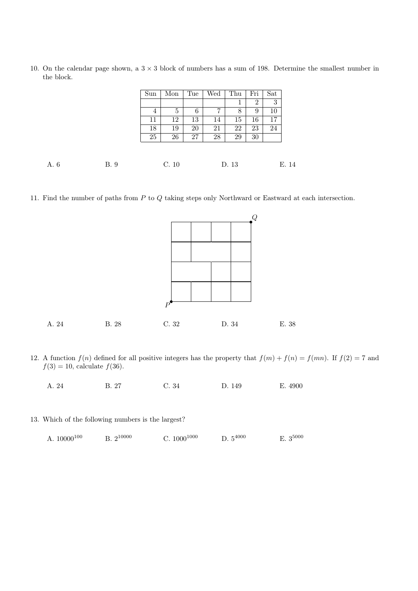10. On the calendar page shown, a  $3 \times 3$  block of numbers has a sum of 198. Determine the smallest number in the block.

|      |      | Sun | Mon            | Tue | Wed | Thu   | Fri            | Sat |       |
|------|------|-----|----------------|-----|-----|-------|----------------|-----|-------|
|      |      |     |                |     |     | T     | $\overline{2}$ | 3   |       |
|      |      | 4   | $\overline{5}$ | 6   | 7   | 8     | 9              | 10  |       |
|      |      | 11  | 12             | 13  | 14  | 15    | 16             | 17  |       |
|      |      | 18  | 19             | 20  | 21  | 22    | 23             | 24  |       |
|      |      | 25  | 26             | 27  | 28  | 29    | 30             |     |       |
|      |      |     |                |     |     |       |                |     |       |
| A. 6 | B. 9 |     | C. 10          |     |     | D. 13 |                |     | E. 14 |

11. Find the number of paths from P to Q taking steps only Northward or Eastward at each intersection.



12. A function  $f(n)$  defined for all positive integers has the property that  $f(m) + f(n) = f(mn)$ . If  $f(2) = 7$  and  $f(3) = 10$ , calculate  $f(36)$ .

A. 24 B. 27 C. 34 D. 149 E. 4900

13. Which of the following numbers is the largest?

| A. $10000^{100}$ | $B. 2^{10000}$ | C. $1000^{1000}$ | D. $5^{4000}$ | $E. 3^{5000}$ |
|------------------|----------------|------------------|---------------|---------------|
|------------------|----------------|------------------|---------------|---------------|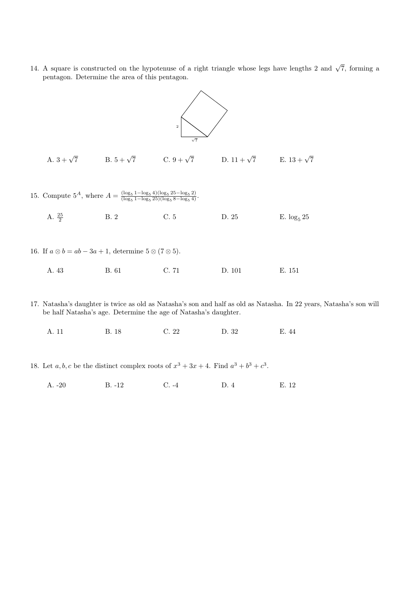14. A square is constructed on the hypotenuse of a right triangle whose legs have lengths 2 and  $\sqrt{7}$ , forming a pentagon. Determine the area of this pentagon.



- 17. Natasha's daughter is twice as old as Natasha's son and half as old as Natasha. In 22 years, Natasha's son will be half Natasha's age. Determine the age of Natasha's daughter.
	- A. 11 B. 18 C. 22 D. 32 E. 44
- 18. Let  $a, b, c$  be the distinct complex roots of  $x^3 + 3x + 4$ . Find  $a^3 + b^3 + c^3$ .
	- A. -20 B. -12 C. -4 D. 4 E. 12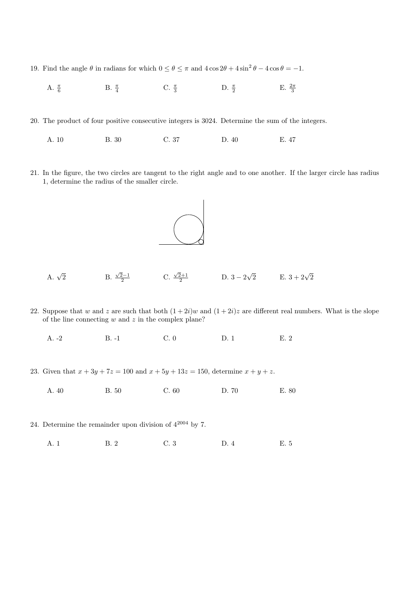- 19. Find the angle  $\theta$  in radians for which  $0 \le \theta \le \pi$  and  $4 \cos 2\theta + 4 \sin^2 \theta 4 \cos \theta = -1$ .
	- A.  $\frac{\pi}{6}$  $\frac{\pi}{6}$  B.  $\frac{\pi}{4}$  C.  $\frac{\pi}{3}$  D.  $\frac{\pi}{2}$  E.  $\frac{2\pi}{3}$
- 20. The product of four positive consecutive integers is 3024. Determine the sum of the integers.
	- A. 10 B. 30 C. 37 D. 40 E. 47
- 21. In the figure, the two circles are tangent to the right angle and to one another. If the larger circle has radius 1, determine the radius of the smaller circle.



- A.  $\sqrt{2}$ 2 B.  $\frac{\sqrt{2}-1}{2}$  C.  $\frac{\sqrt{2}+1}{2}$  $\frac{2+1}{2}$  D.  $3-2\sqrt{2}$  E.  $3+2\sqrt{2}$
- 22. Suppose that w and z are such that both  $(1+2i)w$  and  $(1+2i)z$  are different real numbers. What is the slope of the line connecting  $w$  and  $z$  in the complex plane?
	- A. -2 B. -1 C. 0 D. 1 E. 2
- 23. Given that  $x + 3y + 7z = 100$  and  $x + 5y + 13z = 150$ , determine  $x + y + z$ .
	- A. 40 B. 50 C. 60 D. 70 E. 80
- 24. Determine the remainder upon division of  $4^{2004}$  by 7.
	- A. 1 B. 2 C. 3 D. 4 E. 5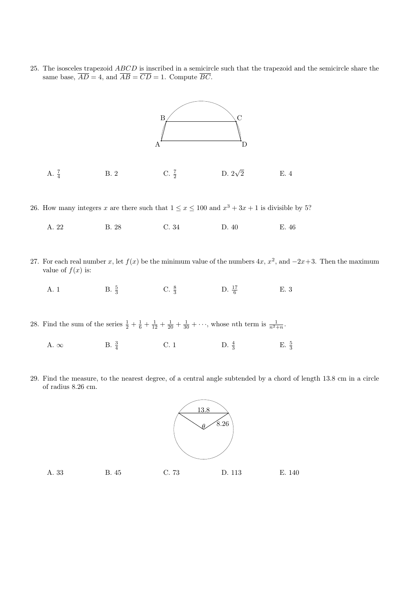25. The isosceles trapezoid ABCD is inscribed in a semicircle such that the trapezoid and the semicircle share the same base,  $\overline{AD} = 4$ , and  $\overline{AB} = \overline{CD} = 1$ . Compute  $\overline{BC}$ .



26. How many integers x are there such that  $1 \le x \le 100$  and  $x^3 + 3x + 1$  is divisible by 5?

| A. 22<br>C. 34<br>B. 28<br>D. 40 | E. 46 |
|----------------------------------|-------|
|----------------------------------|-------|

- 27. For each real number x, let  $f(x)$  be the minimum value of the numbers  $4x, x^2$ , and  $-2x+3$ . Then the maximum value of  $f(x)$  is:
	- A. 1 B.  $\frac{5}{3}$  C.  $\frac{8}{3}$  D.  $\frac{17}{6}$ E. 3

28. Find the sum of the series  $\frac{1}{2} + \frac{1}{6} + \frac{1}{12} + \frac{1}{20} + \frac{1}{30} + \cdots$ , whose *n*th term is  $\frac{1}{n^2 + n}$ .

- A.  $\infty$  B.  $\frac{3}{4}$  $\frac{3}{4}$  C. 1 D.  $\frac{4}{3}$  E.  $\frac{5}{3}$
- 29. Find the measure, to the nearest degree, of a central angle subtended by a chord of length 13.8 cm in a circle of radius 8.26 cm.